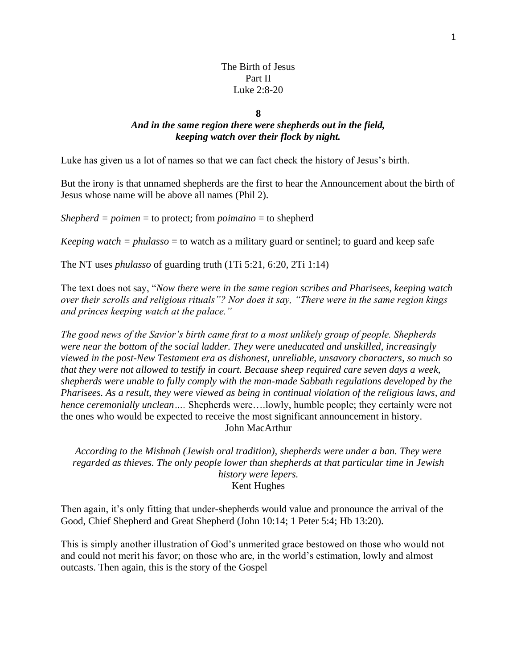### The Birth of Jesus Part II Luke 2:8-20

#### **8**

# *And in the same region there were shepherds out in the field, keeping watch over their flock by night.*

Luke has given us a lot of names so that we can fact check the history of Jesus's birth.

But the irony is that unnamed shepherds are the first to hear the Announcement about the birth of Jesus whose name will be above all names (Phil 2).

*Shepherd = poimen* = to protect; from *poimaino* = to shepherd

*Keeping watch = phulasso* = to watch as a military guard or sentinel; to guard and keep safe

The NT uses *phulasso* of guarding truth (1Ti 5:21, 6:20, 2Ti 1:14)

The text does not say, "*Now there were in the same region scribes and Pharisees, keeping watch over their scrolls and religious rituals"? Nor does it say, "There were in the same region kings and princes keeping watch at the palace."*

*The good news of the Savior's birth came first to a most unlikely group of people. Shepherds were near the bottom of the social ladder. They were uneducated and unskilled, increasingly viewed in the post-New Testament era as dishonest, unreliable, unsavory characters, so much so that they were not allowed to testify in court. Because sheep required care seven days a week, shepherds were unable to fully comply with the man-made Sabbath regulations developed by the Pharisees. As a result, they were viewed as being in continual violation of the religious laws, and hence ceremonially unclean….* Shepherds were….lowly, humble people; they certainly were not the ones who would be expected to receive the most significant announcement in history. John MacArthur

*According to the Mishnah (Jewish oral tradition), shepherds were under a ban. They were regarded as thieves. The only people lower than shepherds at that particular time in Jewish history were lepers.* Kent Hughes

Then again, it's only fitting that under-shepherds would value and pronounce the arrival of the Good, Chief Shepherd and Great Shepherd (John 10:14; 1 Peter 5:4; Hb 13:20).

This is simply another illustration of God's unmerited grace bestowed on those who would not and could not merit his favor; on those who are, in the world's estimation, lowly and almost outcasts. Then again, this is the story of the Gospel –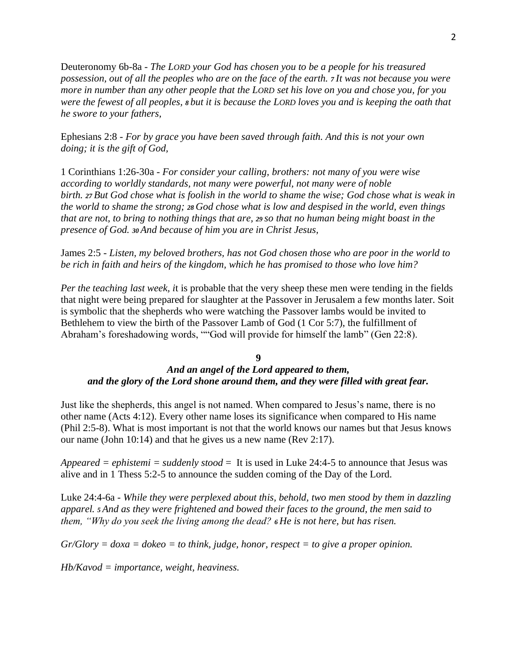Deuteronomy 6b-8a - *The LORD your God has chosen you to be a people for his treasured possession, out of all the peoples who are on the face of the earth. <sup>7</sup> It was not because you were more in number than any other people that the LORD set his love on you and chose you, for you were the fewest of all peoples, <sup>8</sup> but it is because the LORD loves you and is keeping the oath that he swore to your fathers,*

Ephesians 2:8 - *For by grace you have been saved through faith. And this is not your own doing; it is the gift of God,*

1 Corinthians 1:26-30a - *For consider your calling, brothers: not many of you were wise according to worldly standards, not many were powerful, not many were of noble birth. <sup>27</sup> But God chose what is foolish in the world to shame the wise; God chose what is weak in the world to shame the strong; <sup>28</sup> God chose what is low and despised in the world, even things that are not, to bring to nothing things that are, <sup>29</sup> so that no human being might boast in the presence of God. <sup>30</sup> And because of him you are in Christ Jesus,*

James 2:5 - *Listen, my beloved brothers, has not God chosen those who are poor in the world to be rich in faith and heirs of the kingdom, which he has promised to those who love him?*

*Per the teaching last week, i*t is probable that the very sheep these men were tending in the fields that night were being prepared for slaughter at the Passover in Jerusalem a few months later. Soit is symbolic that the shepherds who were watching the Passover lambs would be invited to Bethlehem to view the birth of the Passover Lamb of God (1 Cor 5:7), the fulfillment of Abraham's foreshadowing words, ""God will provide for himself the lamb" (Gen 22:8).

#### **9**

# *And an angel of the Lord appeared to them, and the glory of the Lord shone around them, and they were filled with great fear.*

Just like the shepherds, this angel is not named. When compared to Jesus's name, there is no other name (Acts 4:12). Every other name loses its significance when compared to His name (Phil 2:5-8). What is most important is not that the world knows our names but that Jesus knows our name (John 10:14) and that he gives us a new name (Rev 2:17).

*Appeared = ephistemi = suddenly stood* = It is used in Luke 24:4-5 to announce that Jesus was alive and in 1 Thess 5:2-5 to announce the sudden coming of the Day of the Lord.

Luke 24:4-6a - *While they were perplexed about this, behold, two men stood by them in dazzling apparel. <sup>5</sup> And as they were frightened and bowed their faces to the ground, the men said to them, "Why do you seek the living among the dead? <sup>6</sup> He is not here, but has risen.*

*Gr/Glory = doxa = dokeo = to think, judge, honor, respect = to give a proper opinion.*

*Hb/Kavod = importance, weight, heaviness.*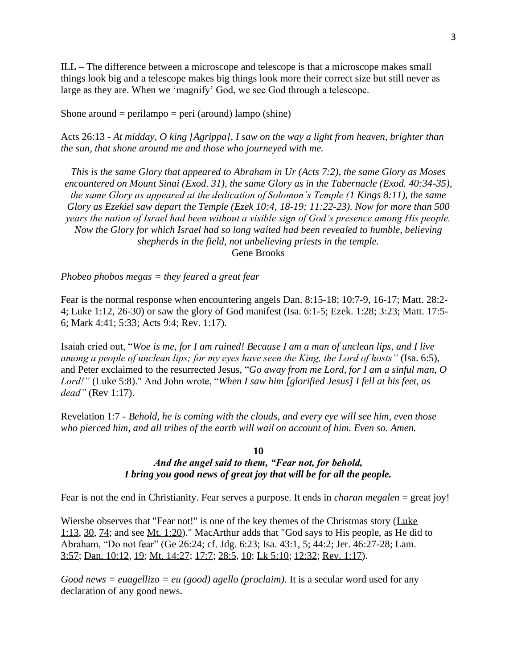ILL – The difference between a microscope and telescope is that a microscope makes small things look big and a telescope makes big things look more their correct size but still never as large as they are. When we 'magnify' God, we see God through a telescope.

Shone around  $=$  perilampo  $=$  peri (around) lampo (shine)

Acts 26:13 - *At midday, O king [Agrippa], I saw on the way a light from heaven, brighter than the sun, that shone around me and those who journeyed with me.*

*This is the same Glory that appeared to Abraham in Ur (Acts 7:2), the same Glory as Moses encountered on Mount Sinai (Exod. 31), the same Glory as in the Tabernacle (Exod. 40:34-35), the same Glory as appeared at the dedication of Solomon's Temple (1 Kings 8:11), the same Glory as Ezekiel saw depart the Temple (Ezek 10:4, 18-19; 11:22-23). Now for more than 500 years the nation of Israel had been without a visible sign of God's presence among His people. Now the Glory for which Israel had so long waited had been revealed to humble, believing shepherds in the field, not unbelieving priests in the temple.* Gene Brooks

*Phobeo phobos megas = they feared a great fear*

Fear is the normal response when encountering angels Dan. 8:15-18; 10:7-9, 16-17; Matt. 28:2- 4; Luke 1:12, [26-30\)](https://biblia.com/bible/nasb95/Luke%201.26-30) or saw the glory of God manifest (Isa. 6:1-5; Ezek. 1:28; 3:23; Matt. 17:5- 6; Mark 4:41; 5:33; Acts 9:4; Rev. 1:17).

Isaiah cried out, "*Woe is me, for I am ruined! Because I am a man of unclean lips, and I live among a people of unclean lips; for my eyes have seen the King, the Lord of hosts"* (Isa. 6:5), and Peter exclaimed to the resurrected Jesus, "*Go away from me Lord, for I am a sinful man, O Lord!"* (Luke 5:8)." And John wrote, "*When I saw him [glorified Jesus] I fell at his feet, as dead"* (Rev 1:17).

Revelation 1:7 - *Behold, he is coming with the clouds, and every eye will see him, even those who pierced him, and all tribes of the earth will wail on account of him. Even so. Amen.*

## **10** *And the angel said to them, "Fear not, for behold, I bring you good news of great joy that will be for all the people.*

Fear is not the end in Christianity. Fear serves a purpose. It ends in *charan megalen* = great joy!

Wiersbe observes that "Fear not!" is one of the key themes of the Christmas story (Luke 1:13, 30, 74; and see Mt. 1:20)." MacArthur adds that "God says to His people, as He did to Abraham, "Do not fear" (Ge 26:24; cf. Jdg. 6:23; Isa. 43:1, 5; 44:2; Jer. 46:27-28; Lam. 3:57; Dan. 10:12, 19; Mt. 14:27; 17:7; 28:5, 10; Lk 5:10; 12:32; Rev. 1:17).

*Good news = euagellizo = eu (good) agello (proclaim).* It is a secular word used for any declaration of any good news.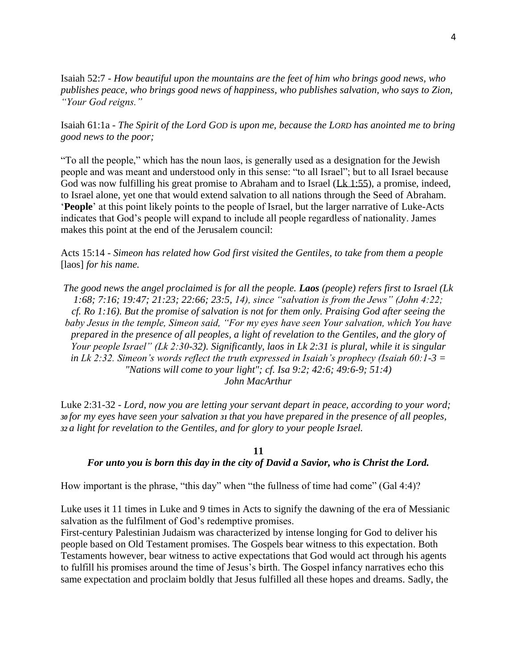Isaiah 52:7 - *How beautiful upon the mountains are the feet of him who brings good news, who publishes peace, who brings good news of happiness, who publishes salvation, who says to Zion, "Your God reigns."*

Isaiah 61:1a - *The Spirit of the Lord GOD is upon me, because the LORD has anointed me to bring good news to the poor;*

"To all the people," which has the noun laos, is generally used as a designation for the Jewish people and was meant and understood only in this sense: "to all Israel"; but to all Israel because God was now fulfilling his great promise to Abraham and to Israel [\(Lk 1:55\)](https://biblia.com/bible/nasb95/Luke%201.55), a promise, indeed, to Israel alone, yet one that would extend salvation to all nations through the Seed of Abraham. '**People**' at this point likely points to the people of Israel, but the larger narrative of Luke-Acts indicates that God's people will expand to include all people regardless of nationality. James makes this point at the end of the Jerusalem council:

Acts 15:14 - *Simeon has related how God first visited the Gentiles, to take from them a people* [laos] *for his name.*

*The good news the angel proclaimed is for all the people. Laos (people) refers first to Israel (Lk 1:68; 7:16; 19:47; 21:23; 22:66; 23:5, 14), since "salvation is from the Jews" (John 4:22; cf. Ro 1:16). But the promise of salvation is not for them only. Praising God after seeing the baby Jesus in the temple, Simeon said, "For my eyes have seen Your salvation, which You have prepared in the presence of all peoples, a light of revelation to the Gentiles, and the glory of Your people Israel" (Lk 2:30-32). Significantly, laos in Lk 2:31 is plural, while it is singular in Lk 2:32. Simeon's words reflect the truth expressed in Isaiah's prophecy (Isaiah 60:1-3 = "Nations will come to your light"; cf. Isa 9:2; 42:6; 49:6-9; 51:4) John MacArthur*

Luke 2:31-32 - *Lord, now you are letting your servant depart in peace, according to your word; <sup>30</sup> for my eyes have seen your salvation <sup>31</sup> that you have prepared in the presence of all peoples, <sup>32</sup> a light for revelation to the Gentiles, and for glory to your people Israel.*

### **11**

#### *For unto you is born this day in the city of David a Savior, who is Christ the Lord.*

How important is the phrase, "this day" when "the fullness of time had come" (Gal 4:4)?

Luke uses it 11 times in Luke and 9 times in Acts to signify the dawning of the era of Messianic salvation as the fulfilment of God's redemptive promises.

First-century Palestinian Judaism was characterized by intense longing for God to deliver his people based on Old Testament promises. The Gospels bear witness to this expectation. Both Testaments however, bear witness to active expectations that God would act through his agents to fulfill his promises around the time of Jesus's birth. The Gospel infancy narratives echo this same expectation and proclaim boldly that Jesus fulfilled all these hopes and dreams. Sadly, the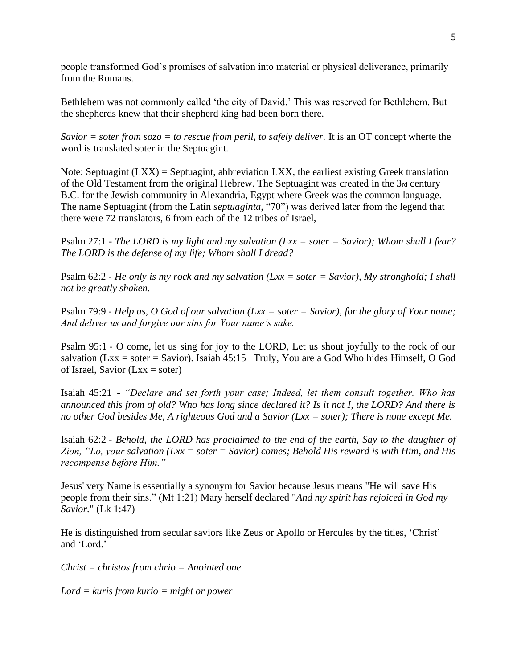people transformed God's promises of salvation into material or physical deliverance, primarily from the Romans.

Bethlehem was not commonly called 'the city of David.' This was reserved for Bethlehem. But the shepherds knew that their shepherd king had been born there.

*Savior = soter from sozo = to rescue from peril, to safely deliver.* It is an OT concept wherte the word is translated soter in the Septuagint.

Note: Septuagint  $(LXX)$  = Septuagint, abbreviation  $LXX$ , the earliest existing Greek translation of the Old Testament from the original Hebrew. The Septuagint was created in the 3rd century B.C. for the Jewish community in Alexandria, Egypt where Greek was the common language. The name Septuagint (from the Latin *septuaginta*, "70") was derived later from the legend that there were 72 translators, 6 from each of the 12 tribes of Israel,

Psalm 27:1 - *The LORD is my light and my salvation [\(Lxx](https://www.preceptaustin.org/greek_to_me#sept) = soter = Savior); Whom shall I fear? The LORD is the defense of my life; Whom shall I dread?*

Psalm 62:2 - *He only is my rock and my salvation [\(Lxx](https://www.preceptaustin.org/greek_to_me#sept) = soter = Savior), My stronghold; I shall not be greatly shaken.*

Psalm 79:9 - *Help us, O God of our salvation [\(Lxx](https://www.preceptaustin.org/greek_to_me#sept) = soter = Savior), for the glory of Your name; And deliver us and forgive our sins for Your name's sake.*

Psalm 95:1 - O come, let us sing for joy to the LORD, Let us shout joyfully to the rock of our salvation [\(Lxx](https://www.preceptaustin.org/greek_to_me#sept) = soter = Savior). Isaiah  $45:15$  Truly, You are a God Who hides Himself, O God of Israel, Savior  $(Lxx = soter)$  $(Lxx = soter)$ 

Isaiah 45:21 - *"Declare and set forth your case; Indeed, let them consult together. Who has announced this from of old? Who has long since declared it? Is it not I, the LORD? And there is no other God besides Me, A righteous God and a Savior [\(Lxx](https://www.preceptaustin.org/greek_to_me#sept) = soter); There is none except Me.*

Isaiah 62:2 - *Behold, the LORD has proclaimed to the end of the earth, Say to the daughter of Zion, "Lo, your salvation [\(Lxx](https://www.preceptaustin.org/greek_to_me#sept) = soter = Savior) comes; Behold His reward is with Him, and His recompense before Him."*

Jesus' very Name is essentially a synonym for Savior because Jesus means "He will save His people from their sins." (Mt 1:21) Mary herself declared "*And my spirit has rejoiced in God my Savior.*" (Lk 1:47)

He is distinguished from secular saviors like Zeus or Apollo or Hercules by the titles, 'Christ' and 'Lord.'

*Christ = christos from chrio = Anointed one* 

*Lord = kuris from kurio = might or power*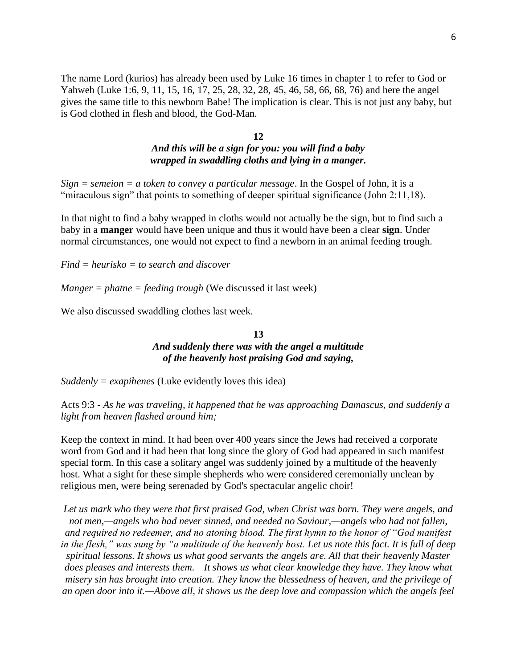The name Lord [\(kurios\)](http://www.preceptaustin.org/matthew_533-35#l) has already been used by Luke 16 times in chapter 1 to refer to God or Yahweh (Luke 1:6, 9, 11, 15, 16, 17, 25, 28, 32, 28, 45, 46, 58, 66, 68, 76) and here the angel gives the same title to this newborn Babe! The implication is clear. This is not just any baby, but is God clothed in flesh and blood, the God-Man.

### **12** *And this will be a sign for you: you will find a baby wrapped in swaddling cloths and lying in a manger.*

*Sign = semeion = a token to convey a particular message*. In the Gospel of John, it is a "miraculous sign" that points to something of deeper spiritual significance (John 2:11,18).

In that night to find a baby wrapped in cloths would not actually be the sign, but to find such a baby in a **manger** would have been unique and thus it would have been a clear **sign**. Under normal circumstances, one would not expect to find a newborn in an animal feeding trough.

*Find = heurisko = to search and discover*

*Manger = phatne = feeding trough* (We discussed it last week)

We also discussed swaddling clothes last week.

## **13** *And suddenly there was with the angel a multitude of the heavenly host praising God and saying,*

*Suddenly = exapihenes* (Luke evidently loves this idea)

Acts 9:3 - *As he was traveling, it happened that he was approaching Damascus, and suddenly a light from heaven flashed around him;*

Keep the context in mind. It had been over 400 years since the Jews had received a corporate word from God and it had been that long since the glory of God had appeared in such manifest special form. In this case a solitary angel was suddenly joined by a multitude of the heavenly host. What a sight for these simple shepherds who were considered ceremonially unclean by religious men, were being serenaded by God's spectacular angelic choir!

*Let us mark who they were that first praised God, when Christ was born. They were angels, and not men,—angels who had never sinned, and needed no Saviour,—angels who had not fallen, and required no redeemer, and no atoning blood. The first hymn to the honor of "God manifest in the flesh," was sung by "a multitude of the heavenly host. Let us note this fact. It is full of deep spiritual lessons. It shows us what good servants the angels are. All that their heavenly Master does pleases and interests them.—It shows us what clear knowledge they have. They know what misery sin has brought into creation. They know the blessedness of heaven, and the privilege of an open door into it.—Above all, it shows us the deep love and compassion which the angels feel*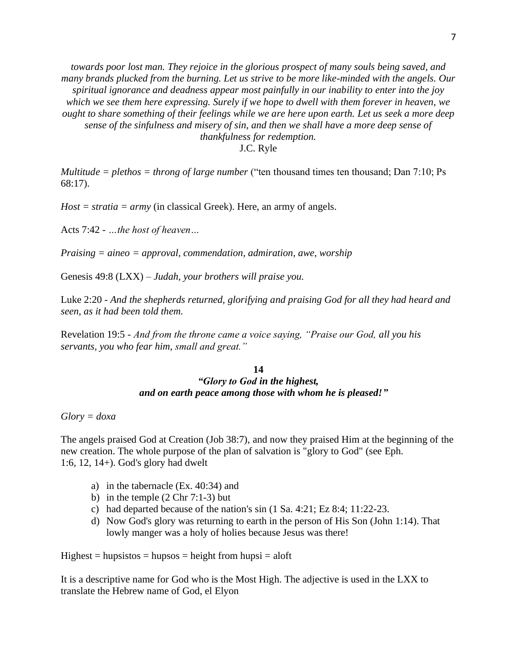*towards poor lost man. They rejoice in the glorious prospect of many souls being saved, and many brands plucked from the burning. Let us strive to be more like-minded with the angels. Our spiritual ignorance and deadness appear most painfully in our inability to enter into the joy which we see them here expressing. Surely if we hope to dwell with them forever in heaven, we ought to share something of their feelings while we are here upon earth. Let us seek a more deep sense of the sinfulness and misery of sin, and then we shall have a more deep sense of thankfulness for redemption.*

J.C. Ryle

*Multitude = plethos = throng of large number* ("ten thousand times ten thousand; Dan 7:10; Ps 68:17).

*Host = stratia = army* (in classical Greek). Here, an army of angels.

Acts 7:42 - *…the host of heaven…*

*Praising = aineo = approval, commendation, admiration, awe, worship*

Genesis 49:8 (LXX) *– Judah, your brothers will praise you.*

Luke 2:20 - *And the shepherds returned, glorifying and praising God for all they had heard and seen, as it had been told them.*

Revelation 19:5 - *And from the throne came a voice saying, "Praise our God, all you his servants, you who fear him, small and great."*

### **14** *"Glory to God in the highest, and on earth peace among those with whom he is pleased!"*

*Glory = doxa* 

The angels praised God at Creation (Job 38:7), and now they praised Him at the beginning of the new creation. The whole purpose of the plan of salvation is "glory to God" (see Eph. 1:6, [12,](https://biblia.com/bible/nasb95/Eph%201.12) 1[4+\)](https://www.preceptaustin.org/ephesians_15-6#1:6). God's glory had dwelt

- a) in the tabernacle (Ex. 40:34) and
- b) in the temple  $(2 \text{ Chr } 7:1-3)$  but
- c) had departed because of the nation's sin (1 Sa. 4:21; Ez 8:4; 11:22-23.
- d) Now God's glory was returning to earth in the person of His Son (John 1:14). That lowly manger was a holy of holies because Jesus was there!

 $Highest = hupsistos = hupsos = height from hupsi = aloft$ 

It is a descriptive name for God who is the Most High. The adjective is used in the LXX to translate the Hebrew name of God, el Elyon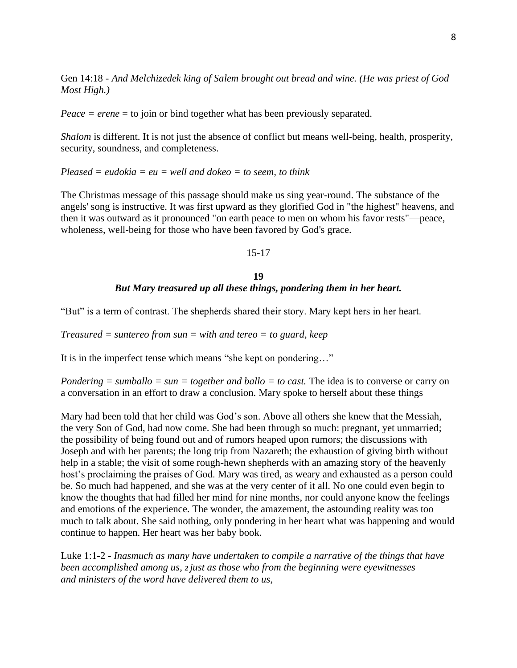Gen 14:18 - *And Melchizedek king of Salem brought out bread and wine. (He was priest of God Most High.)*

*Peace = erene* = to join or bind together what has been previously separated.

*Shalom* is different. It is not just the absence of conflict but means well-being, health, prosperity, security, soundness, and completeness.

*Pleased = eudokia = eu = well and dokeo = to seem, to think*

The Christmas message of this passage should make us sing year-round. The substance of the angels' song is instructive. It was first upward as they glorified God in "the highest" heavens, and then it was outward as it pronounced "on earth peace to men on whom his favor rests"—peace, wholeness, well-being for those who have been favored by God's grace.

### 15-17

# **19** *But Mary treasured up all these things, pondering them in her heart.*

"But" is a term of contrast. The shepherds shared their story. Mary kept hers in her heart.

*Treasured = suntereo from sun = with and tereo = to guard, keep*

It is in the imperfect tense which means "she kept on pondering…"

*Pondering = sumballo = sun = together and ballo = to cast.* The idea is to converse or carry on a conversation in an effort to draw a conclusion. Mary spoke to herself about these things

Mary had been told that her child was God's son. Above all others she knew that the Messiah, the very Son of God, had now come. She had been through so much: pregnant, yet unmarried; the possibility of being found out and of rumors heaped upon rumors; the discussions with Joseph and with her parents; the long trip from Nazareth; the exhaustion of giving birth without help in a stable; the visit of some rough-hewn shepherds with an amazing story of the heavenly host's proclaiming the praises of God. Mary was tired, as weary and exhausted as a person could be. So much had happened, and she was at the very center of it all. No one could even begin to know the thoughts that had filled her mind for nine months, nor could anyone know the feelings and emotions of the experience. The wonder, the amazement, the astounding reality was too much to talk about. She said nothing, only pondering in her heart what was happening and would continue to happen. Her heart was her baby book.

Luke 1:1-2 - *Inasmuch as many have undertaken to compile a narrative of the things that have been accomplished among us, <sup>2</sup> just as those who from the beginning were eyewitnesses and ministers of the word have delivered them to us,*